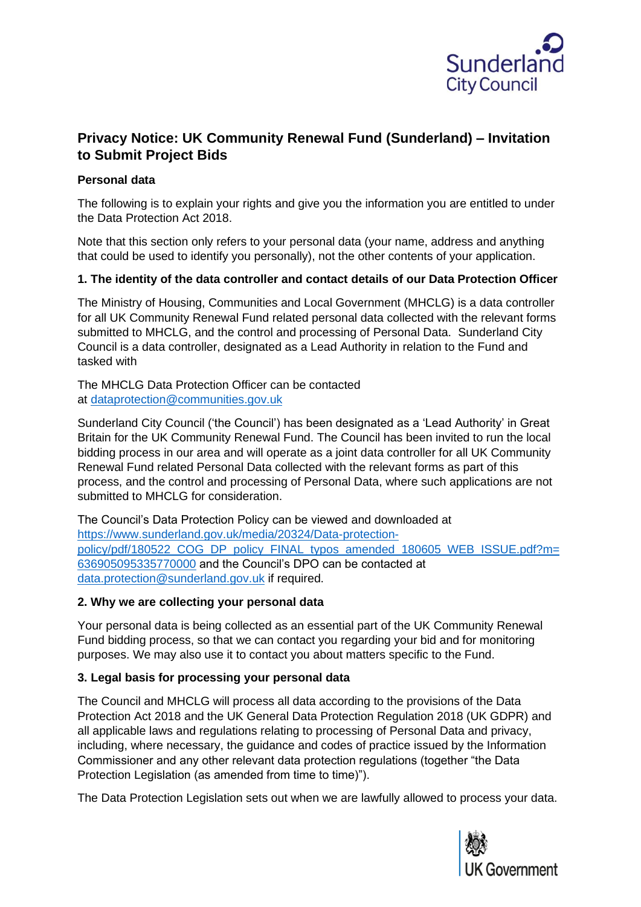

# **Privacy Notice: UK Community Renewal Fund (Sunderland) – Invitation to Submit Project Bids**

## **Personal data**

The following is to explain your rights and give you the information you are entitled to under the Data Protection Act 2018.

Note that this section only refers to your personal data (your name, address and anything that could be used to identify you personally), not the other contents of your application.

# **1. The identity of the data controller and contact details of our Data Protection Officer**

The Ministry of Housing, Communities and Local Government (MHCLG) is a data controller for all UK Community Renewal Fund related personal data collected with the relevant forms submitted to MHCLG, and the control and processing of Personal Data. Sunderland City Council is a data controller, designated as a Lead Authority in relation to the Fund and tasked with

The MHCLG Data Protection Officer can be contacted at [dataprotection@communities.gov.uk](mailto:dataprotection@communities.gsi.gov.uk)

Sunderland City Council ('the Council') has been designated as a 'Lead Authority' in Great Britain for the UK Community Renewal Fund. The Council has been invited to run the local bidding process in our area and will operate as a joint data controller for all UK Community Renewal Fund related Personal Data collected with the relevant forms as part of this process, and the control and processing of Personal Data, where such applications are not submitted to MHCLG for consideration.

The Council's Data Protection Policy can be viewed and downloaded at [https://www.sunderland.gov.uk/media/20324/Data-protection](https://www.sunderland.gov.uk/media/20324/Data-protection-policy/pdf/180522_COG_DP_policy_FINAL_typos_amended_180605_WEB_ISSUE.pdf?m=636905095335770000)[policy/pdf/180522\\_COG\\_DP\\_policy\\_FINAL\\_typos\\_amended\\_180605\\_WEB\\_ISSUE.pdf?m=](https://www.sunderland.gov.uk/media/20324/Data-protection-policy/pdf/180522_COG_DP_policy_FINAL_typos_amended_180605_WEB_ISSUE.pdf?m=636905095335770000) [636905095335770000](https://www.sunderland.gov.uk/media/20324/Data-protection-policy/pdf/180522_COG_DP_policy_FINAL_typos_amended_180605_WEB_ISSUE.pdf?m=636905095335770000) and the Council's DPO can be contacted at [data.protection@sunderland.gov.uk](mailto:data.protection@sunderland.gov.uk) if required.

#### **2. Why we are collecting your personal data**

Your personal data is being collected as an essential part of the UK Community Renewal Fund bidding process, so that we can contact you regarding your bid and for monitoring purposes. We may also use it to contact you about matters specific to the Fund.

# **3. Legal basis for processing your personal data**

The Council and MHCLG will process all data according to the provisions of the Data Protection Act 2018 and the UK General Data Protection Regulation 2018 (UK GDPR) and all applicable laws and regulations relating to processing of Personal Data and privacy, including, where necessary, the guidance and codes of practice issued by the Information Commissioner and any other relevant data protection regulations (together "the Data Protection Legislation (as amended from time to time)").

The Data Protection Legislation sets out when we are lawfully allowed to process your data.

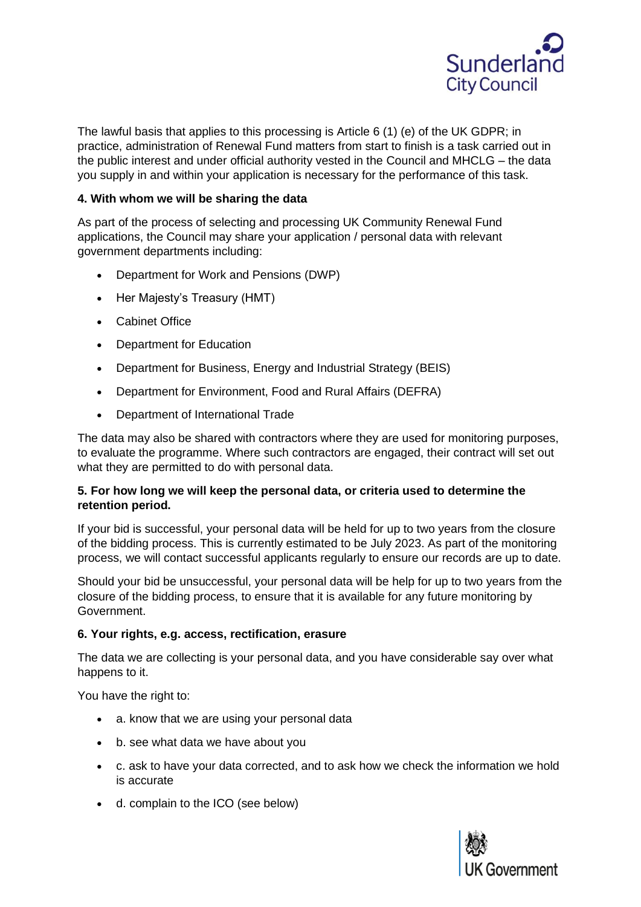

The lawful basis that applies to this processing is Article 6 (1) (e) of the UK GDPR; in practice, administration of Renewal Fund matters from start to finish is a task carried out in the public interest and under official authority vested in the Council and MHCLG – the data you supply in and within your application is necessary for the performance of this task.

# **4. With whom we will be sharing the data**

As part of the process of selecting and processing UK Community Renewal Fund applications, the Council may share your application / personal data with relevant government departments including:

- Department for Work and Pensions (DWP)
- Her Majesty's Treasury (HMT)
- Cabinet Office
- Department for Education
- Department for Business, Energy and Industrial Strategy (BEIS)
- Department for Environment, Food and Rural Affairs (DEFRA)
- Department of International Trade

The data may also be shared with contractors where they are used for monitoring purposes, to evaluate the programme. Where such contractors are engaged, their contract will set out what they are permitted to do with personal data.

#### **5. For how long we will keep the personal data, or criteria used to determine the retention period.**

If your bid is successful, your personal data will be held for up to two years from the closure of the bidding process. This is currently estimated to be July 2023. As part of the monitoring process, we will contact successful applicants regularly to ensure our records are up to date.

Should your bid be unsuccessful, your personal data will be help for up to two years from the closure of the bidding process, to ensure that it is available for any future monitoring by Government.

# **6. Your rights, e.g. access, rectification, erasure**

The data we are collecting is your personal data, and you have considerable say over what happens to it.

You have the right to:

- a. know that we are using your personal data
- b. see what data we have about you
- c. ask to have your data corrected, and to ask how we check the information we hold is accurate
- d. complain to the ICO (see below)